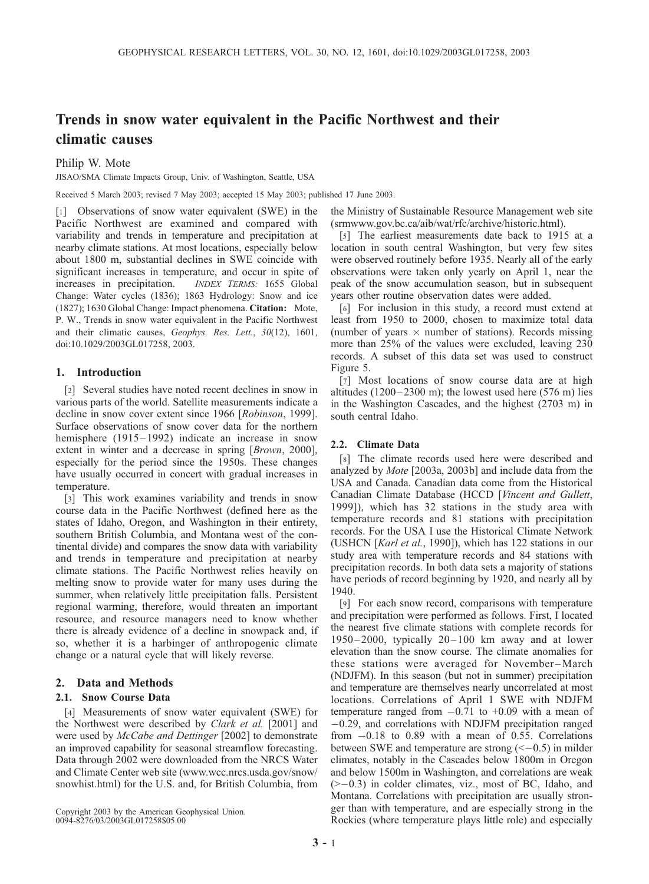# Trends in snow water equivalent in the Pacific Northwest and their climatic causes

## Philip W. Mote

JISAO/SMA Climate Impacts Group, Univ. of Washington, Seattle, USA

Received 5 March 2003; revised 7 May 2003; accepted 15 May 2003; published 17 June 2003.

[1] Observations of snow water equivalent (SWE) in the Pacific Northwest are examined and compared with variability and trends in temperature and precipitation at nearby climate stations. At most locations, especially below about 1800 m, substantial declines in SWE coincide with significant increases in temperature, and occur in spite of increases in precipitation. *INDEX TERMS*: 1655 Global INDEX TERMS: 1655 Global Change: Water cycles (1836); 1863 Hydrology: Snow and ice (1827); 1630 Global Change: Impact phenomena. Citation: Mote, P. W., Trends in snow water equivalent in the Pacific Northwest and their climatic causes, Geophys. Res. Lett., 30(12), 1601, doi:10.1029/2003GL017258, 2003.

## 1. Introduction

[2] Several studies have noted recent declines in snow in various parts of the world. Satellite measurements indicate a decline in snow cover extent since 1966 [Robinson, 1999]. Surface observations of snow cover data for the northern hemisphere  $(1915-1992)$  indicate an increase in snow extent in winter and a decrease in spring [*Brown*, 2000], especially for the period since the 1950s. These changes have usually occurred in concert with gradual increases in temperature.

[3] This work examines variability and trends in snow course data in the Pacific Northwest (defined here as the states of Idaho, Oregon, and Washington in their entirety, southern British Columbia, and Montana west of the continental divide) and compares the snow data with variability and trends in temperature and precipitation at nearby climate stations. The Pacific Northwest relies heavily on melting snow to provide water for many uses during the summer, when relatively little precipitation falls. Persistent regional warming, therefore, would threaten an important resource, and resource managers need to know whether there is already evidence of a decline in snowpack and, if so, whether it is a harbinger of anthropogenic climate change or a natural cycle that will likely reverse.

## 2. Data and Methods

#### 2.1. Snow Course Data

[4] Measurements of snow water equivalent (SWE) for the Northwest were described by *Clark et al.* [2001] and were used by *McCabe and Dettinger* [2002] to demonstrate an improved capability for seasonal streamflow forecasting. Data through 2002 were downloaded from the NRCS Water and Climate Center web site (www.wcc.nrcs.usda.gov/snow/ snowhist.html) for the U.S. and, for British Columbia, from

Copyright 2003 by the American Geophysical Union. 0094-8276/03/2003GL017258\$05.00

the Ministry of Sustainable Resource Management web site (srmwww.gov.bc.ca/aib/wat/rfc/archive/historic.html).

[5] The earliest measurements date back to 1915 at a location in south central Washington, but very few sites were observed routinely before 1935. Nearly all of the early observations were taken only yearly on April 1, near the peak of the snow accumulation season, but in subsequent years other routine observation dates were added.

[6] For inclusion in this study, a record must extend at least from 1950 to 2000, chosen to maximize total data (number of years  $\times$  number of stations). Records missing more than 25% of the values were excluded, leaving 230 records. A subset of this data set was used to construct Figure 5.

[7] Most locations of snow course data are at high altitudes  $(1200-2300 \text{ m})$ ; the lowest used here  $(576 \text{ m})$  lies in the Washington Cascades, and the highest (2703 m) in south central Idaho.

#### 2.2. Climate Data

[8] The climate records used here were described and analyzed by Mote [2003a, 2003b] and include data from the USA and Canada. Canadian data come from the Historical Canadian Climate Database (HCCD [Vincent and Gullett, 1999]), which has 32 stations in the study area with temperature records and 81 stations with precipitation records. For the USA I use the Historical Climate Network (USHCN [Karl et al., 1990]), which has 122 stations in our study area with temperature records and 84 stations with precipitation records. In both data sets a majority of stations have periods of record beginning by 1920, and nearly all by 1940.

[9] For each snow record, comparisons with temperature and precipitation were performed as follows. First, I located the nearest five climate stations with complete records for  $1950 - 2000$ , typically  $20 - 100$  km away and at lower elevation than the snow course. The climate anomalies for these stations were averaged for November –March (NDJFM). In this season (but not in summer) precipitation and temperature are themselves nearly uncorrelated at most locations. Correlations of April 1 SWE with NDJFM temperature ranged from -0.71 to +0.09 with a mean of -0.29, and correlations with NDJFM precipitation ranged from -0.18 to 0.89 with a mean of 0.55. Correlations between SWE and temperature are strong  $(< -0.5$ ) in milder climates, notably in the Cascades below 1800m in Oregon and below 1500m in Washington, and correlations are weak (>-0.3) in colder climates, viz., most of BC, Idaho, and Montana. Correlations with precipitation are usually stronger than with temperature, and are especially strong in the Rockies (where temperature plays little role) and especially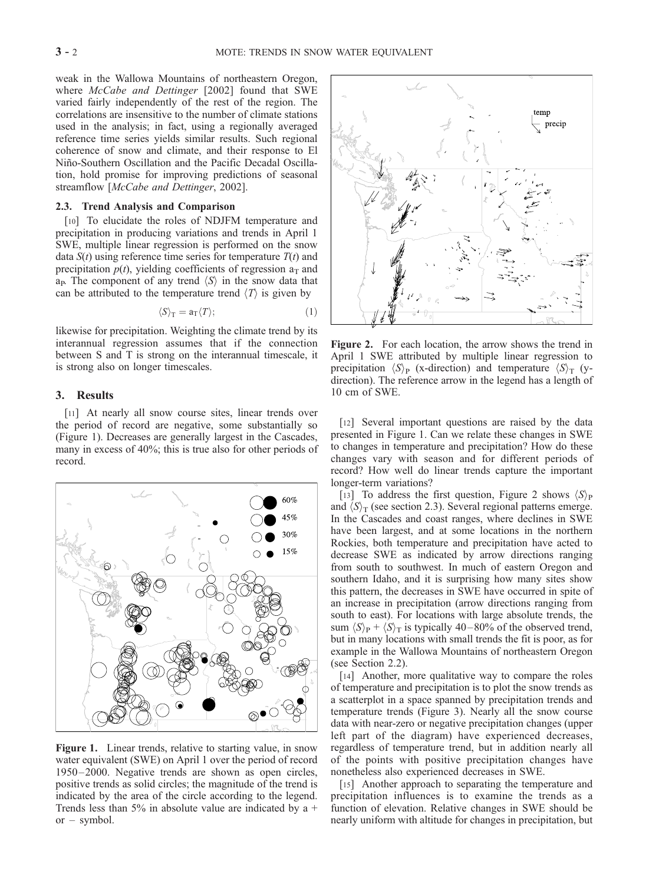weak in the Wallowa Mountains of northeastern Oregon, where McCabe and Dettinger [2002] found that SWE varied fairly independently of the rest of the region. The correlations are insensitive to the number of climate stations used in the analysis; in fact, using a regionally averaged reference time series yields similar results. Such regional coherence of snow and climate, and their response to El Niño-Southern Oscillation and the Pacific Decadal Oscillation, hold promise for improving predictions of seasonal streamflow [McCabe and Dettinger, 2002].

### 2.3. Trend Analysis and Comparison

[10] To elucidate the roles of NDJFM temperature and precipitation in producing variations and trends in April 1 SWE, multiple linear regression is performed on the snow data  $S(t)$  using reference time series for temperature  $T(t)$  and precipitation  $p(t)$ , yielding coefficients of regression  $a_T$  and a<sub>p</sub>. The component of any trend  $\langle S \rangle$  in the snow data that can be attributed to the temperature trend  $\langle T \rangle$  is given by

$$
\langle S \rangle_{\mathcal{T}} = a_{\mathcal{T}} \langle T \rangle; \tag{1}
$$

likewise for precipitation. Weighting the climate trend by its interannual regression assumes that if the connection between S and T is strong on the interannual timescale, it is strong also on longer timescales.

#### 3. Results

[11] At nearly all snow course sites, linear trends over the period of record are negative, some substantially so (Figure 1). Decreases are generally largest in the Cascades, many in excess of 40%; this is true also for other periods of record.



Figure 1. Linear trends, relative to starting value, in snow water equivalent (SWE) on April 1 over the period of record 1950 – 2000. Negative trends are shown as open circles, positive trends as solid circles; the magnitude of the trend is indicated by the area of the circle according to the legend. Trends less than 5% in absolute value are indicated by a  $+$ or – symbol.



Figure 2. For each location, the arrow shows the trend in April 1 SWE attributed by multiple linear regression to precipitation  $\langle S \rangle_P$  (x-direction) and temperature  $\langle S \rangle_T$  (ydirection). The reference arrow in the legend has a length of 10 cm of SWE.

[12] Several important questions are raised by the data presented in Figure 1. Can we relate these changes in SWE to changes in temperature and precipitation? How do these changes vary with season and for different periods of record? How well do linear trends capture the important longer-term variations?

[13] To address the first question, Figure 2 shows  $\langle S \rangle_P$ and  $\langle S \rangle_T$  (see section 2.3). Several regional patterns emerge. In the Cascades and coast ranges, where declines in SWE have been largest, and at some locations in the northern Rockies, both temperature and precipitation have acted to decrease SWE as indicated by arrow directions ranging from south to southwest. In much of eastern Oregon and southern Idaho, and it is surprising how many sites show this pattern, the decreases in SWE have occurred in spite of an increase in precipitation (arrow directions ranging from south to east). For locations with large absolute trends, the sum  $\langle S \rangle_P + \langle S \rangle_T$  is typically 40–80% of the observed trend, but in many locations with small trends the fit is poor, as for example in the Wallowa Mountains of northeastern Oregon (see Section 2.2).

[14] Another, more qualitative way to compare the roles of temperature and precipitation is to plot the snow trends as a scatterplot in a space spanned by precipitation trends and temperature trends (Figure 3). Nearly all the snow course data with near-zero or negative precipitation changes (upper left part of the diagram) have experienced decreases, regardless of temperature trend, but in addition nearly all of the points with positive precipitation changes have nonetheless also experienced decreases in SWE.

[15] Another approach to separating the temperature and precipitation influences is to examine the trends as a function of elevation. Relative changes in SWE should be nearly uniform with altitude for changes in precipitation, but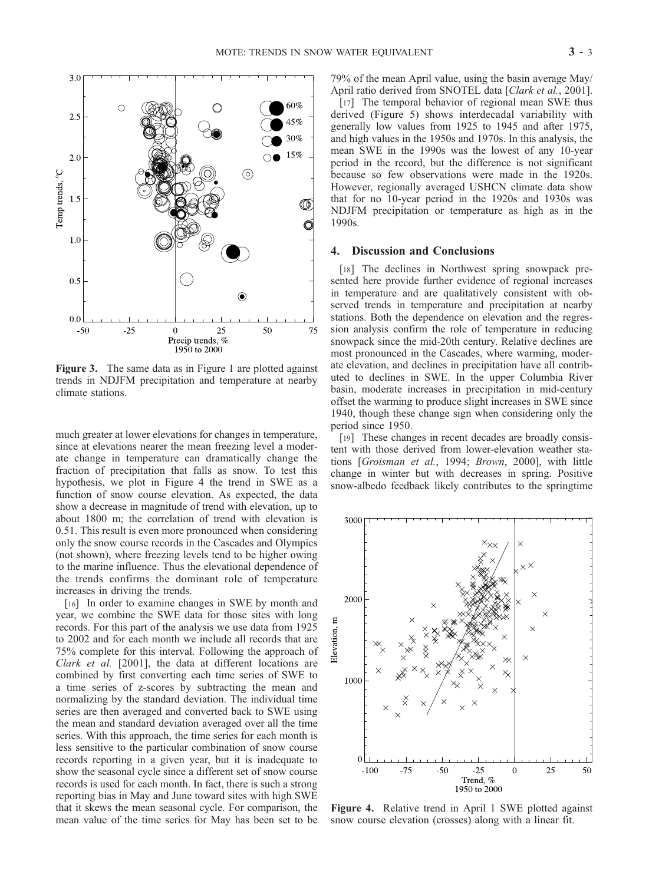

Figure 3. The same data as in Figure 1 are plotted against trends in NDJFM precipitation and temperature at nearby climate stations.

much greater at lower elevations for changes in temperature, since at elevations nearer the mean freezing level a moderate change in temperature can dramatically change the fraction of precipitation that falls as snow. To test this hypothesis, we plot in Figure 4 the trend in SWE as a function of snow course elevation. As expected, the data show a decrease in magnitude of trend with elevation, up to about 1800 m; the correlation of trend with elevation is 0.51. This result is even more pronounced when considering only the snow course records in the Cascades and Olympics (not shown), where freezing levels tend to be higher owing to the marine influence. Thus the elevational dependence of the trends confirms the dominant role of temperature increases in driving the trends.

[16] In order to examine changes in SWE by month and year, we combine the SWE data for those sites with long records. For this part of the analysis we use data from 1925 to 2002 and for each month we include all records that are 75% complete for this interval. Following the approach of Clark et al. [2001], the data at different locations are combined by first converting each time series of SWE to a time series of z-scores by subtracting the mean and normalizing by the standard deviation. The individual time series are then averaged and converted back to SWE using the mean and standard deviation averaged over all the time series. With this approach, the time series for each month is less sensitive to the particular combination of snow course records reporting in a given year, but it is inadequate to show the seasonal cycle since a different set of snow course records is used for each month. In fact, there is such a strong reporting bias in May and June toward sites with high SWE that it skews the mean seasonal cycle. For comparison, the mean value of the time series for May has been set to be

79% of the mean April value, using the basin average May/ April ratio derived from SNOTEL data [Clark et al., 2001].

[17] The temporal behavior of regional mean SWE thus derived (Figure 5) shows interdecadal variability with generally low values from 1925 to 1945 and after 1975, and high values in the 1950s and 1970s. In this analysis, the mean SWE in the 1990s was the lowest of any 10-year period in the record, but the difference is not significant because so few observations were made in the 1920s. However, regionally averaged USHCN climate data show that for no 10-year period in the 1920s and 1930s was NDJFM precipitation or temperature as high as in the 1990s.

### 4. Discussion and Conclusions

[18] The declines in Northwest spring snowpack presented here provide further evidence of regional increases in temperature and are qualitatively consistent with observed trends in temperature and precipitation at nearby stations. Both the dependence on elevation and the regression analysis confirm the role of temperature in reducing snowpack since the mid-20th century. Relative declines are most pronounced in the Cascades, where warming, moderate elevation, and declines in precipitation have all contributed to declines in SWE. In the upper Columbia River basin, moderate increases in precipitation in mid-century offset the warming to produce slight increases in SWE since 1940, though these change sign when considering only the period since 1950.

[19] These changes in recent decades are broadly consistent with those derived from lower-elevation weather stations [Groisman et al., 1994; Brown, 2000], with little change in winter but with decreases in spring. Positive snow-albedo feedback likely contributes to the springtime



Figure 4. Relative trend in April 1 SWE plotted against snow course elevation (crosses) along with a linear fit.